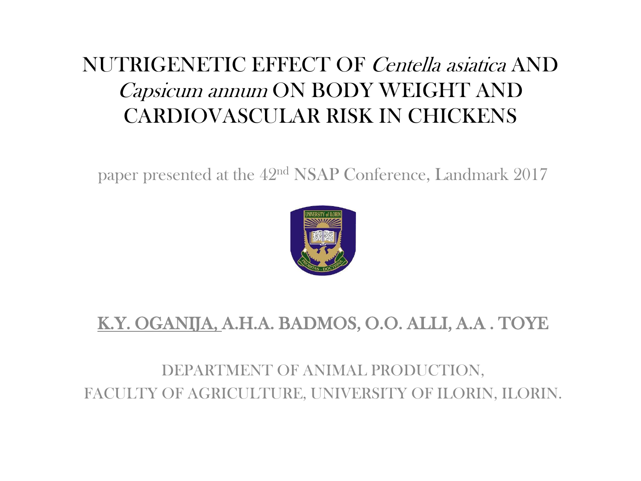### NUTRIGENETIC EFFECT OF Centella asiatica AND Capsicum annum ON BODY WEIGHT AND CARDIOVASCULAR RISK IN CHICKENS

paper presented at the 42nd NSAP Conference, Landmark 2017



#### K.Y. OGANIJA, A.H.A. BADMOS, O.O. ALLI, A.A . TOYE

#### DEPARTMENT OF ANIMAL PRODUCTION, FACULTY OF AGRICULTURE, UNIVERSITY OF ILORIN, ILORIN.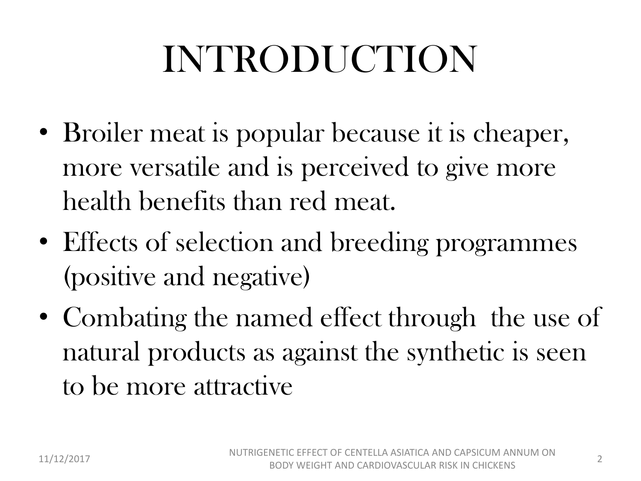## INTRODUCTION

- Broiler meat is popular because it is cheaper, more versatile and is perceived to give more health benefits than red meat.
- Effects of selection and breeding programmes (positive and negative)
- Combating the named effect through the use of natural products as against the synthetic is seen to be more attractive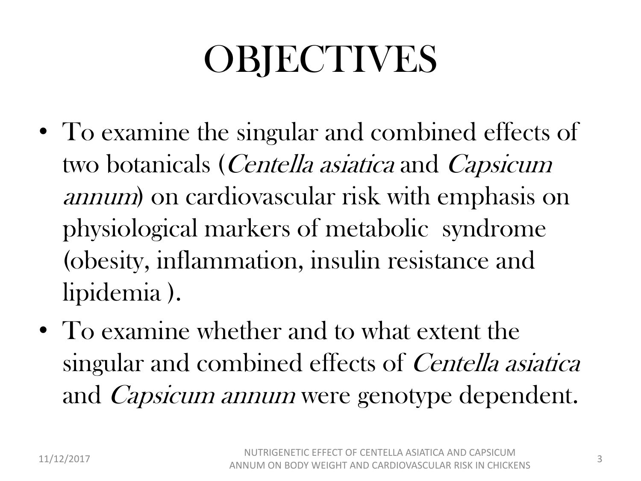## **OBJECTIVES**

- To examine the singular and combined effects of two botanicals (Centella asiatica and Capsicum annum) on cardiovascular risk with emphasis on physiological markers of metabolic syndrome (obesity, inflammation, insulin resistance and lipidemia ).
- To examine whether and to what extent the singular and combined effects of *Centella asiatica* and *Capsicum annum* were genotype dependent.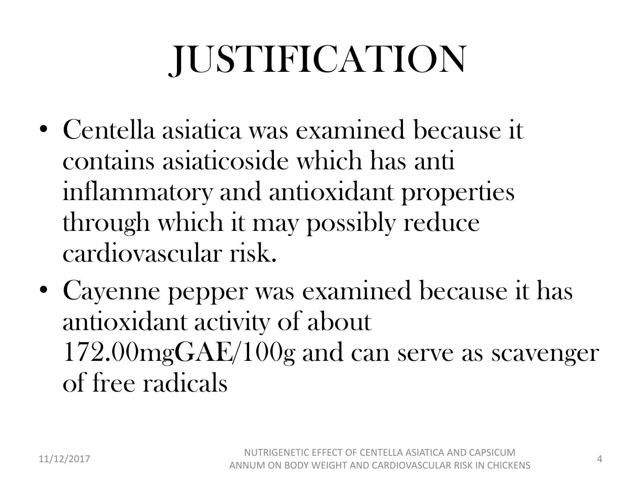## JUSTIFICATION

- Centella asiatica was examined because it contains asiaticoside which has anti inflammatory and antioxidant properties through which it may possibly reduce cardiovascular risk.
- Cayenne pepper was examined because it has antioxidant activity of about 172.00mgGAE/100g and can serve as scavenger of free radicals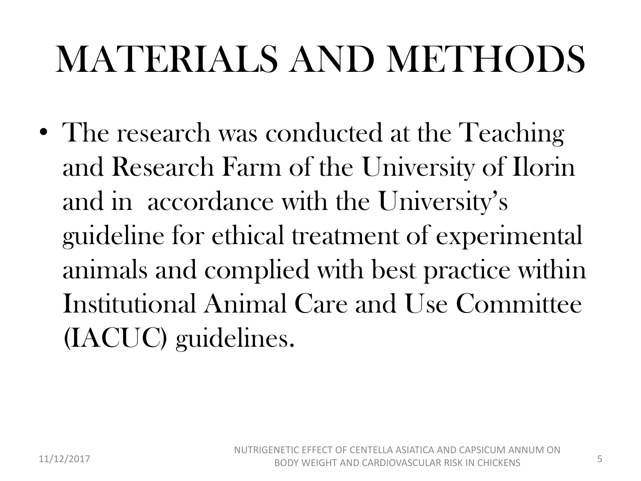## MATERIALS AND METHODS

• The research was conducted at the Teaching and Research Farm of the University of Ilorin and in accordance with the University's guideline for ethical treatment of experimental animals and complied with best practice within Institutional Animal Care and Use Committee (IACUC) guidelines.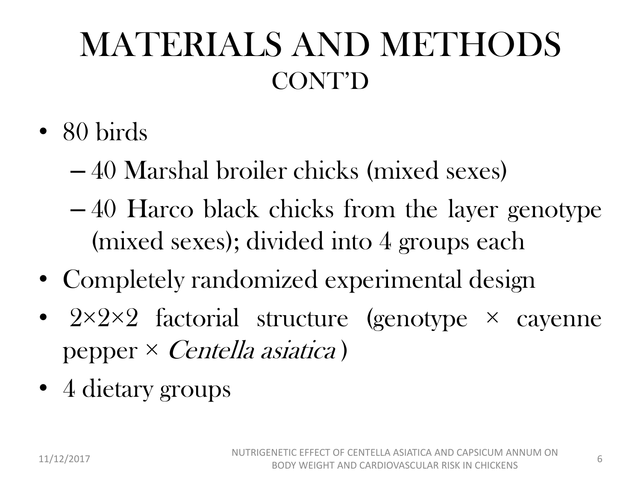## MATERIALS AND METHODS CONT'D

- 80 birds
	- 40 Marshal broiler chicks (mixed sexes)
	- 40 Harco black chicks from the layer genotype (mixed sexes); divided into 4 groups each
- Completely randomized experimental design
- $2 \times 2 \times 2$  factorial structure (genotype  $\times$  cayenne pepper  $\times$  Centella asiatica)
- 4 dietary groups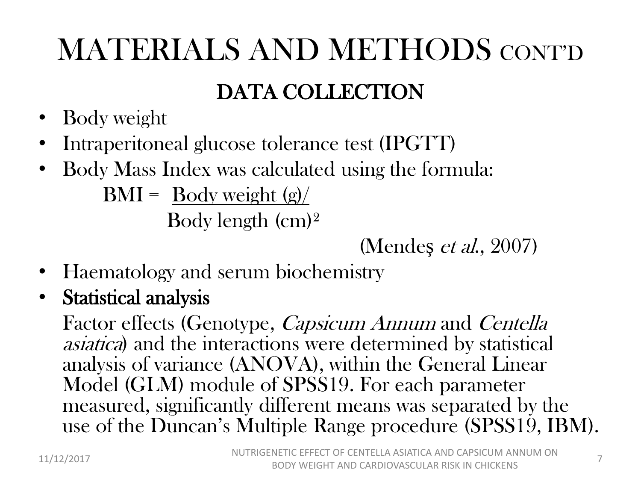## MATERIALS AND METHODS CONT'D

## DATA COLLECTION

- Body weight
- Intraperitoneal glucose tolerance test (IPGTT)
- Body Mass Index was calculated using the formula:

 $BMI = Body weight (g)/$ Body length (cm)²

(Mendeş et al., 2007)

- Haematology and serum biochemistry
- Statistical analysis

Factor effects (Genotype, Capsicum Annum and Centella asiatica) and the interactions were determined by statistical analysis of variance (ANOVA), within the General Linear Model (GLM) module of SPSS19. For each parameter measured, significantly different means was separated by the use of the Duncan's Multiple Range procedure (SPSS19, IBM).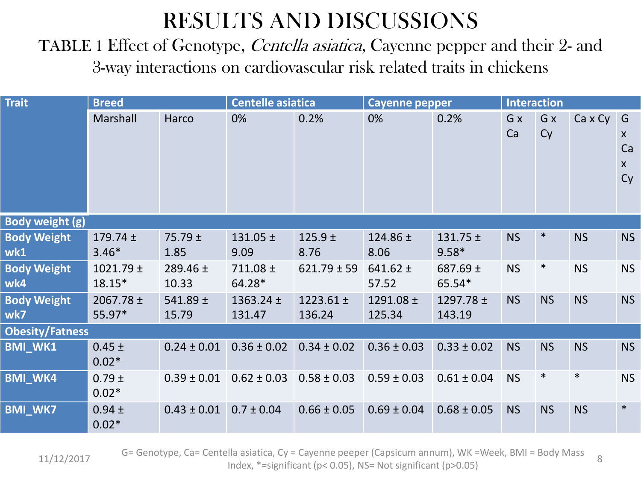### RESULTS AND DISCUSSIONS

TABLE 1 Effect of Genotype, Centella asiatica, Cayenne pepper and their 2- and 3-way interactions on cardiovascular risk related traits in chickens

| <b>Trait</b>              | <b>Breed</b>            |                       | <b>Centelle asiatica</b> |                         | Cayenne pepper          | <b>Interaction</b>      |           |           |                  |                                                           |
|---------------------------|-------------------------|-----------------------|--------------------------|-------------------------|-------------------------|-------------------------|-----------|-----------|------------------|-----------------------------------------------------------|
|                           | Marshall                | Harco                 | 0%                       | 0.2%                    | 0%                      | 0.2%                    | G x<br>Ca | G x<br>Cy | $Ca \times Cy$ G | $\boldsymbol{X}$<br>Ca<br>$\boldsymbol{\mathsf{X}}$<br>Cy |
| Body weight (g)           |                         |                       |                          |                         |                         |                         |           |           |                  |                                                           |
| <b>Body Weight</b><br>wk1 | $179.74 \pm$<br>$3.46*$ | $75.79 \pm$<br>1.85   | $131.05 \pm$<br>9.09     | 125.9 $\pm$<br>8.76     | 124.86 $\pm$<br>8.06    | $131.75 \pm$<br>$9.58*$ | <b>NS</b> | $\ast$    | <b>NS</b>        | <b>NS</b>                                                 |
| <b>Body Weight</b><br>wk4 | $1021.79 \pm$<br>18.15* | $289.46 \pm$<br>10.33 | $711.08 \pm$<br>64.28*   | $621.79 \pm 59$         | $641.62 \pm$<br>57.52   | 687.69 $\pm$<br>65.54*  | <b>NS</b> | $\ast$    | <b>NS</b>        | <b>NS</b>                                                 |
| <b>Body Weight</b><br>wk7 | 2067.78 $\pm$<br>55.97* | 541.89 $\pm$<br>15.79 | 1363.24 $\pm$<br>131.47  | 1223.61 $\pm$<br>136.24 | 1291.08 $\pm$<br>125.34 | 1297.78 $\pm$<br>143.19 | <b>NS</b> | <b>NS</b> | <b>NS</b>        | <b>NS</b>                                                 |
| <b>Obesity/Fatness</b>    |                         |                       |                          |                         |                         |                         |           |           |                  |                                                           |
| <b>BMI_WK1</b>            | $0.45 \pm$<br>$0.02*$   | $0.24 \pm 0.01$       | $0.36 \pm 0.02$          | $0.34 \pm 0.02$         | $0.36 \pm 0.03$         | $0.33 \pm 0.02$         | <b>NS</b> | <b>NS</b> | <b>NS</b>        | <b>NS</b>                                                 |
| <b>BMI_WK4</b>            | $0.79 \pm$<br>$0.02*$   | $0.39 \pm 0.01$       | $0.62 \pm 0.03$          | $0.58 \pm 0.03$         | $0.59 \pm 0.03$         | $0.61 \pm 0.04$         | <b>NS</b> | $\ast$    | $\ast$           | <b>NS</b>                                                 |
| <b>BMI WK7</b>            | $0.94 \pm$<br>$0.02*$   | $0.43 \pm 0.01$       | $0.7 \pm 0.04$           | $0.66 \pm 0.05$         | $0.69 \pm 0.04$         | $0.68 \pm 0.05$         | <b>NS</b> | <b>NS</b> | <b>NS</b>        | $\ast$                                                    |

11/12/2017 G= Genotype, Ca= Centella asiatica, Cy = Cayenne peeper (Capsicum annum), WK =Week, BMI = Body Mass Index,  $*$ =significant (p< 0.05), NS= Not significant (p>0.05)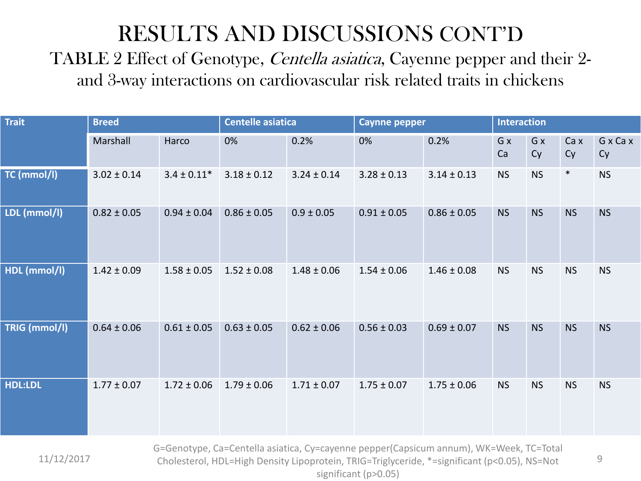### RESULTS AND DISCUSSIONS CONT'D TABLE 2 Effect of Genotype, Centella asiatica, Cayenne pepper and their 2 and 3-way interactions on cardiovascular risk related traits in chickens

| <b>Trait</b>   | <b>Breed</b>    |                 | <b>Centelle asiatica</b>                                |                 | <b>Caynne pepper</b> | <b>Interaction</b> |           |           |            |                |
|----------------|-----------------|-----------------|---------------------------------------------------------|-----------------|----------------------|--------------------|-----------|-----------|------------|----------------|
|                | Marshall        | Harco           | 0%                                                      | 0.2%            | 0%                   | 0.2%               | G x<br>Ca | G x<br>Cy | Ca x<br>Cy | G x Ca x<br>Cy |
| TC (mmol/l)    | $3.02 \pm 0.14$ | $3.4 \pm 0.11*$ | $3.18 \pm 0.12$                                         | $3.24 \pm 0.14$ | $3.28 \pm 0.13$      | $3.14 \pm 0.13$    | <b>NS</b> | <b>NS</b> | $\ast$     | <b>NS</b>      |
| LDL (mmol/l)   | $0.82 \pm 0.05$ | $0.94 \pm 0.04$ | $0.86 \pm 0.05$                                         | $0.9 \pm 0.05$  | $0.91 \pm 0.05$      | $0.86 \pm 0.05$    | <b>NS</b> | <b>NS</b> | <b>NS</b>  | <b>NS</b>      |
| HDL (mmol/l)   | $1.42 \pm 0.09$ | $1.58 \pm 0.05$ | $1.52 \pm 0.08$                                         | $1.48 \pm 0.06$ | $1.54 \pm 0.06$      | $1.46 \pm 0.08$    | <b>NS</b> | <b>NS</b> | <b>NS</b>  | <b>NS</b>      |
| TRIG (mmol/l)  | $0.64 \pm 0.06$ | $0.61 \pm 0.05$ | $0.63 \pm 0.05$                                         | $0.62 \pm 0.06$ | $0.56 \pm 0.03$      | $0.69 \pm 0.07$    | <b>NS</b> | <b>NS</b> | <b>NS</b>  | <b>NS</b>      |
| <b>HDL:LDL</b> | $1.77 \pm 0.07$ | $1.72 \pm 0.06$ | $1.79 \pm 0.06$                                         | $1.71 \pm 0.07$ | $1.75 \pm 0.07$      | $1.75 \pm 0.06$    | <b>NS</b> | <b>NS</b> | <b>NS</b>  | <b>NS</b>      |
|                |                 |                 | $\sim$ $\sim$ $\sim$ $\sim$ $\sim$ $\sim$ $\sim$ $\sim$ |                 |                      |                    |           |           |            |                |

11/12/2017

G=Genotype, Ca=Centella asiatica, Cy=cayenne pepper(Capsicum annum), WK=Week, TC=Total Cholesterol, HDL=High Density Lipoprotein, TRIG=Triglyceride, \*=significant (p<0.05), NS=Not significant (p>0.05)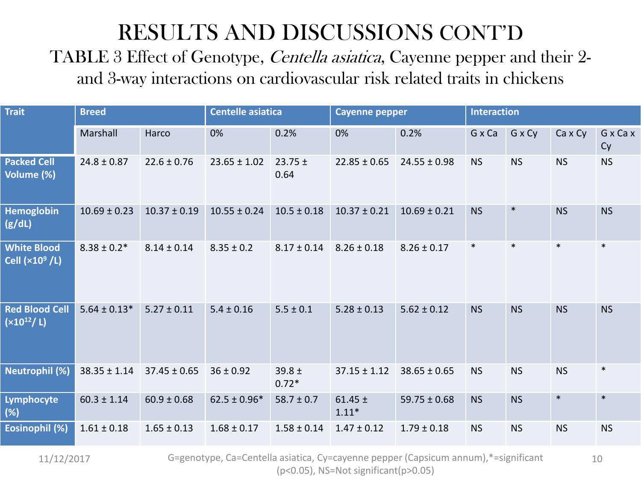### RESULTS AND DISCUSSIONS CONT'D

TABLE 3 Effect of Genotype, Centella asiatica, Cayenne pepper and their 2 and 3-way interactions on cardiovascular risk related traits in chickens

| <b>Trait</b>                                     | <b>Breed</b>     |                  | <b>Centelle asiatica</b> |                       | <b>Cayenne pepper</b>  | <b>Interaction</b> |           |           |           |                |
|--------------------------------------------------|------------------|------------------|--------------------------|-----------------------|------------------------|--------------------|-----------|-----------|-----------|----------------|
|                                                  | Marshall         | Harco            | 0%                       | 0.2%                  | 0%                     | 0.2%               | G x Ca    | G x Cy    | Ca x Cy   | G x Ca x<br>Cy |
| <b>Packed Cell</b><br>Volume (%)                 | $24.8 \pm 0.87$  | $22.6 \pm 0.76$  | $23.65 \pm 1.02$         | $23.75 \pm$<br>0.64   | $22.85 \pm 0.65$       | $24.55 \pm 0.98$   | <b>NS</b> | <b>NS</b> | <b>NS</b> | <b>NS</b>      |
| <b>Hemoglobin</b><br>(g/dL)                      | $10.69 \pm 0.23$ | $10.37 \pm 0.19$ | $10.55 \pm 0.24$         | $10.5 \pm 0.18$       | $10.37 \pm 0.21$       | $10.69 \pm 0.21$   | <b>NS</b> | $\ast$    | <b>NS</b> | <b>NS</b>      |
| <b>White Blood</b><br>Cell (×10 <sup>9</sup> /L) | $8.38 \pm 0.2*$  | $8.14 \pm 0.14$  | $8.35 \pm 0.2$           | $8.17 \pm 0.14$       | $8.26 \pm 0.18$        | $8.26 \pm 0.17$    | $\ast$    | $\ast$    | $\ast$    | $\ast$         |
| <b>Red Blood Cell</b><br>$(x10^{12}/ L)$         | $5.64 \pm 0.13*$ | $5.27 \pm 0.11$  | $5.4 \pm 0.16$           | $5.5 \pm 0.1$         | $5.28 \pm 0.13$        | $5.62 \pm 0.12$    | <b>NS</b> | <b>NS</b> | <b>NS</b> | <b>NS</b>      |
| Neutrophil (%)                                   | $38.35 \pm 1.14$ | $37.45 \pm 0.65$ | $36 \pm 0.92$            | 39.8 $\pm$<br>$0.72*$ | $37.15 \pm 1.12$       | $38.65 \pm 0.65$   | <b>NS</b> | <b>NS</b> | <b>NS</b> | $\ast$         |
| Lymphocyte<br>(%)                                | $60.3 \pm 1.14$  | $60.9 \pm 0.68$  | $62.5 \pm 0.96*$         | $58.7 \pm 0.7$        | 61.45 $\pm$<br>$1.11*$ | $59.75 \pm 0.68$   | <b>NS</b> | <b>NS</b> | $\ast$    | $\ast$         |
| Eosinophil (%)                                   | $1.61 \pm 0.18$  | $1.65 \pm 0.13$  | $1.68 \pm 0.17$          | $1.58 \pm 0.14$       | $1.47 \pm 0.12$        | $1.79 \pm 0.18$    | <b>NS</b> | <b>NS</b> | <b>NS</b> | <b>NS</b>      |

11/12/2017 G=genotype, Ca=Centella asiatica, Cy=cayenne pepper (Capsicum annum),\*=significant (p<0.05), NS=Not significant(p>0.05)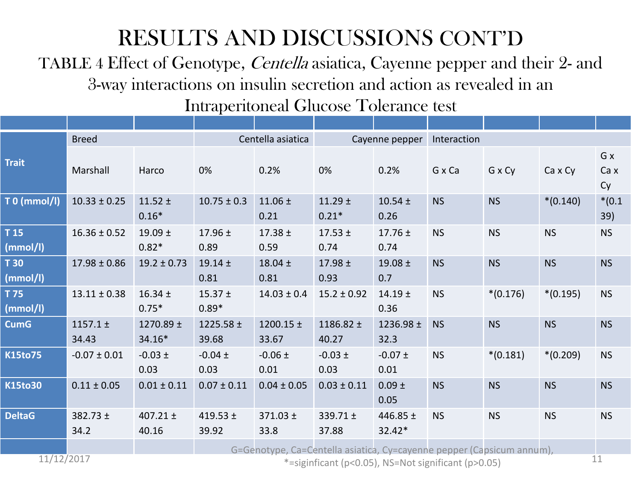### RESULTS AND DISCUSSIONS CONT'D

TABLE 4 Effect of Genotype, Centella asiatica, Cayenne pepper and their 2- and 3-way interactions on insulin secretion and action as revealed in an

|                    | <b>Breed</b>          |                        | Centella asiatica      |                        | Cayenne pepper         |                        | Interaction |            |            |                   |
|--------------------|-----------------------|------------------------|------------------------|------------------------|------------------------|------------------------|-------------|------------|------------|-------------------|
| <b>Trait</b>       | Marshall              | Harco                  | 0%                     | 0.2%                   | 0%                     | 0.2%                   | G x Ca      | G x Cy     | Ca x Cy    | G x<br>Ca x<br>Cy |
| <b>T0 (mmol/l)</b> | $10.33 \pm 0.25$      | 11.52 $\pm$<br>$0.16*$ | $10.75 \pm 0.3$        | 11.06 $\pm$<br>0.21    | $11.29 \pm$<br>$0.21*$ | $10.54 \pm$<br>0.26    | <b>NS</b>   | <b>NS</b>  | $*(0.140)$ | $*(0.1)$<br>39)   |
| T 15<br>(mmol/l)   | $16.36 \pm 0.52$      | 19.09 $\pm$<br>$0.82*$ | 17.96 $\pm$<br>0.89    | $17.38 \pm$<br>0.59    | 17.53 $\pm$<br>0.74    | $17.76 \pm$<br>0.74    | <b>NS</b>   | <b>NS</b>  | <b>NS</b>  | <b>NS</b>         |
| T 30<br>(mmol/l)   | $17.98 \pm 0.86$      | $19.2 \pm 0.73$        | $19.14 \pm$<br>0.81    | 18.04 $\pm$<br>0.81    | 17.98 $\pm$<br>0.93    | 19.08 $\pm$<br>0.7     | <b>NS</b>   | <b>NS</b>  | <b>NS</b>  | <b>NS</b>         |
| T 75<br>(mmol/l)   | $13.11 \pm 0.38$      | $16.34 \pm$<br>$0.75*$ | $15.37 \pm$<br>$0.89*$ | $14.03 \pm 0.4$        | $15.2 \pm 0.92$        | $14.19 \pm$<br>0.36    | <b>NS</b>   | $*(0.176)$ | $*(0.195)$ | <b>NS</b>         |
| <b>CumG</b>        | 1157.1 $\pm$<br>34.43 | 1270.89 ±<br>34.16*    | 1225.58 $\pm$<br>39.68 | 1200.15 $\pm$<br>33.67 | 1186.82 $\pm$<br>40.27 | 1236.98 ±<br>32.3      | <b>NS</b>   | <b>NS</b>  | <b>NS</b>  | <b>NS</b>         |
| <b>K15to75</b>     | $-0.07 \pm 0.01$      | $-0.03 \pm$<br>0.03    | $-0.04 \pm$<br>0.03    | $-0.06 \pm$<br>0.01    | $-0.03 \pm$<br>0.03    | $-0.07 \pm$<br>0.01    | <b>NS</b>   | $*(0.181)$ | $*(0.209)$ | <b>NS</b>         |
| <b>K15to30</b>     | $0.11 \pm 0.05$       | $0.01 \pm 0.11$        | $0.07 \pm 0.11$        | $0.04 \pm 0.05$        | $0.03 \pm 0.11$        | $0.09 \pm$<br>0.05     | <b>NS</b>   | <b>NS</b>  | <b>NS</b>  | <b>NS</b>         |
| <b>DeltaG</b>      | 382.73 ±<br>34.2      | 407.21 $\pm$<br>40.16  | 419.53 $\pm$<br>39.92  | $371.03 \pm$<br>33.8   | $339.71 \pm$<br>37.88  | 446.85 $\pm$<br>32.42* | <b>NS</b>   | <b>NS</b>  | <b>NS</b>  | <b>NS</b>         |
|                    |                       |                        |                        |                        |                        |                        |             |            |            |                   |

#### Intraperitoneal Glucose Tolerance test

11/12/2017

Ca=Centella asiatica, Cy=cayenne pepper (Capsicum annum),

 $*$ =siginficant (p<0.05), NS=Not significant (p>0.05) 11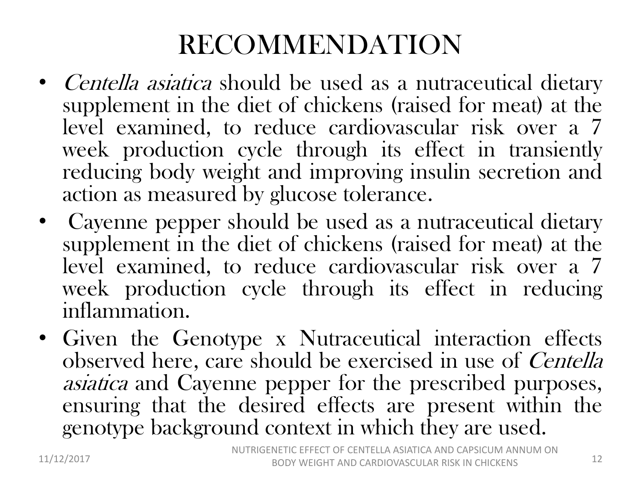## RECOMMENDATION

- *Centella asiatica* should be used as a nutraceutical dietary supplement in the diet of chickens (raised for meat) at the level examined, to reduce cardiovascular risk over a 7 week production cycle through its effect in transiently reducing body weight and improving insulin secretion and action as measured by glucose tolerance.
- Cayenne pepper should be used as a nutraceutical dietary supplement in the diet of chickens (raised for meat) at the level examined, to reduce cardiovascular risk over a 7 week production cycle through its effect in reducing inflammation.
- Given the Genotype x Nutraceutical interaction effects observed here, care should be exercised in use of Centella asiatica and Cayenne pepper for the prescribed purposes, ensuring that the desired effects are present within the genotype background context in which they are used.